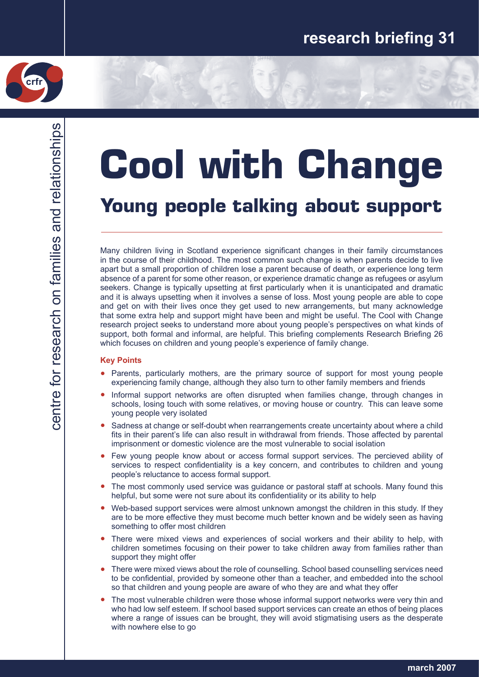

# **Cool with Change Young people talking about support**

Many children living in Scotland experience significant changes in their family circumstances in the course of their childhood. The most common such change is when parents decide to live apart but a small proportion of children lose a parent because of death, or experience long term absence of a parent for some other reason, or experience dramatic change as refugees or asylum seekers. Change is typically upsetting at first particularly when it is unanticipated and dramatic and it is always upsetting when it involves a sense of loss. Most young people are able to cope and get on with their lives once they get used to new arrangements, but many acknowledge that some extra help and support might have been and might be useful. The Cool with Change research project seeks to understand more about young people's perspectives on what kinds of support, both formal and informal, are helpful. This briefing complements Research Briefing 26 which focuses on children and young people's experience of family change.

## **Key Points**

- Parents, particularly mothers, are the primary source of support for most young people experiencing family change, although they also turn to other family members and friends
- Informal support networks are often disrupted when families change, through changes in schools, losing touch with some relatives, or moving house or country. This can leave some young people very isolated ●
- Sadness at change or self-doubt when rearrangements create uncertainty about where a child fits in their parent's life can also result in withdrawal from friends. Those affected by parental imprisonment or domestic violence are the most vulnerable to social isolation ●
- Few young people know about or access formal support services. The percieved ability of services to respect confidentiality is a key concern, and contributes to children and young people's reluctance to access formal support. ●
- The most commonly used service was guidance or pastoral staff at schools. Many found this helpful, but some were not sure about its confidentiality or its ability to help ●
- Web-based support services were almost unknown amongst the children in this study. If they are to be more effective they must become much better known and be widely seen as having something to offer most children ●
- There were mixed views and experiences of social workers and their ability to help, with children sometimes focusing on their power to take children away from families rather than support they might offer ●
- There were mixed views about the role of counselling. School based counselling services need to be confidential, provided by someone other than a teacher, and embedded into the school so that children and young people are aware of who they are and what they offer ●
- The most vulnerable children were those whose informal support networks were very thin and who had low self esteem. If school based support services can create an ethos of being places where a range of issues can be brought, they will avoid stigmatising users as the desperate with nowhere else to go ●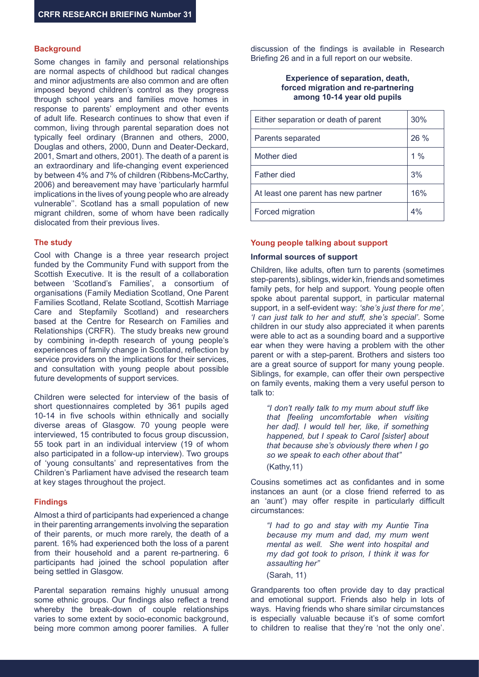# **Background**

Some changes in family and personal relationships are normal aspects of childhood but radical changes and minor adjustments are also common and are often imposed beyond children's control as they progress through school years and families move homes in response to parents' employment and other events of adult life. Research continues to show that even if common, living through parental separation does not typically feel ordinary (Brannen and others, 2000, Douglas and others, 2000, Dunn and Deater-Deckard, 2001, Smart and others, 2001). The death of a parent is an extraordinary and life-changing event experienced by between 4% and 7% of children (Ribbens-McCarthy, 2006) and bereavement may have 'particularly harmful implications in the lives of young people who are already vulnerable''. Scotland has a small population of new migrant children, some of whom have been radically dislocated from their previous lives.

## **The study**

Cool with Change is a three year research project funded by the Community Fund with support from the Scottish Executive. It is the result of a collaboration between 'Scotland's Families', a consortium of organisations (Family Mediation Scotland, One Parent Families Scotland, Relate Scotland, Scottish Marriage Care and Stepfamily Scotland) and researchers based at the Centre for Research on Families and Relationships (CRFR). The study breaks new ground by combining in-depth research of young people's experiences of family change in Scotland, reflection by service providers on the implications for their services, and consultation with young people about possible future developments of support services.

Children were selected for interview of the basis of short questionnaires completed by 361 pupils aged 10-14 in five schools within ethnically and socially diverse areas of Glasgow. 70 young people were interviewed, 15 contributed to focus group discussion, 55 took part in an individual interview (19 of whom also participated in a follow-up interview). Two groups of 'young consultants' and representatives from the Children's Parliament have advised the research team at key stages throughout the project.

#### **Findings**

Almost a third of participants had experienced a change in their parenting arrangements involving the separation of their parents, or much more rarely, the death of a parent. 16% had experienced both the loss of a parent from their household and a parent re-partnering. 6 participants had joined the school population after being settled in Glasgow.

Parental separation remains highly unusual among some ethnic groups. Our findings also reflect a trend whereby the break-down of couple relationships varies to some extent by socio-economic background, being more common among poorer families. A fuller

discussion of the findings is available in Research Briefing 26 and in a full report on our website.

## **Experience of separation, death, forced migration and re-partnering among 10-14 year old pupils**

| Either separation or death of parent | 30%    |
|--------------------------------------|--------|
| Parents separated                    | $26\%$ |
| Mother died                          | $1\%$  |
| <b>Father died</b>                   | 3%     |
| At least one parent has new partner  | 16%    |
| Forced migration                     | 4%     |

#### **Young people talking about support**

#### **Informal sources of support**

Children, like adults, often turn to parents (sometimes step-parents), siblings, wider kin, friends and sometimes family pets, for help and support. Young people often spoke about parental support, in particular maternal support, in a self-evident way: *'she's just there for me', 'I can just talk to her and stuff, she's special'*. Some children in our study also appreciated it when parents were able to act as a sounding board and a supportive ear when they were having a problem with the other parent or with a step-parent. Brothers and sisters too are a great source of support for many young people. Siblings, for example, can offer their own perspective on family events, making them a very useful person to talk to:

*"I don't really talk to my mum about stuff like that [feeling uncomfortable when visiting her dad]. I would tell her, like, if something happened, but I speak to Carol [sister] about that because she's obviously there when I go so we speak to each other about that"* (Kathy,11)

Cousins sometimes act as confidantes and in some instances an aunt (or a close friend referred to as an 'aunt') may offer respite in particularly difficult circumstances:

*"I had to go and stay with my Auntie Tina because my mum and dad, my mum went mental as well. She went into hospital and my dad got took to prison, I think it was for assaulting her"*

(Sarah, 11)

Grandparents too often provide day to day practical and emotional support. Friends also help in lots of ways. Having friends who share similar circumstances is especially valuable because it's of some comfort to children to realise that they're 'not the only one'.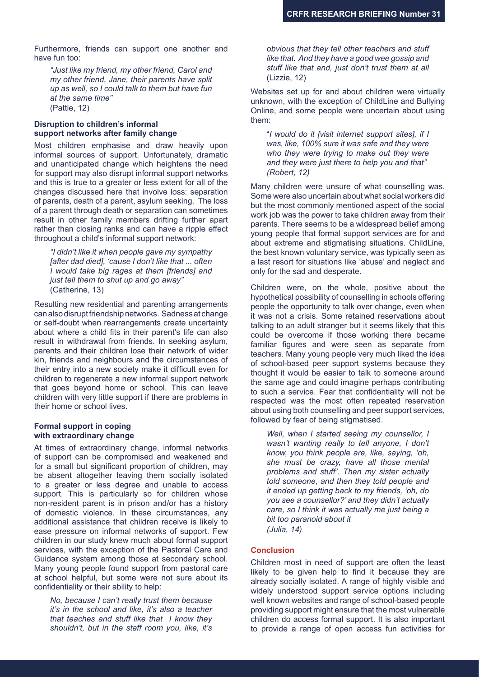Furthermore, friends can support one another and have fun too:

*"Just like my friend, my other friend, Carol and my other friend, Jane, their parents have split up as well, so I could talk to them but have fun at the same time"* (Pattie, 12)

## **Disruption to children's informal support networks after family change**

Most children emphasise and draw heavily upon informal sources of support. Unfortunately, dramatic and unanticipated change which heightens the need for support may also disrupt informal support networks and this is true to a greater or less extent for all of the changes discussed here that involve loss: separation of parents, death of a parent, asylum seeking. The loss of a parent through death or separation can sometimes result in other family members drifting further apart rather than closing ranks and can have a ripple effect throughout a child's informal support network:

*"I didn't like it when people gave my sympathy [after dad died], 'cause I don't like that ... often I would take big rages at them [friends] and just tell them to shut up and go away"* (Catherine, 13)

Resulting new residential and parenting arrangements can also disrupt friendship networks. Sadness at change or self-doubt when rearrangements create uncertainty about where a child fits in their parent's life can also result in withdrawal from friends. In seeking asylum, parents and their children lose their network of wider kin, friends and neighbours and the circumstances of their entry into a new society make it difficult even for children to regenerate a new informal support network that goes beyond home or school. This can leave children with very little support if there are problems in their home or school lives.

#### **Formal support in coping with extraordinary change**

At times of extraordinary change, informal networks of support can be compromised and weakened and for a small but significant proportion of children, may be absent altogether leaving them socially isolated to a greater or less degree and unable to access support. This is particularly so for children whose non-resident parent is in prison and/or has a history of domestic violence. In these circumstances, any additional assistance that children receive is likely to ease pressure on informal networks of support. Few children in our study knew much about formal support services, with the exception of the Pastoral Care and Guidance system among those at secondary school. Many young people found support from pastoral care at school helpful, but some were not sure about its confidentiality or their ability to help:

*No, because I can't really trust them because it's in the school and like, it's also a teacher that teaches and stuff like that I know they shouldn't, but in the staff room you, like, it's* 

*obvious that they tell other teachers and stuff like that. And they have a good wee gossip and stuff like that and, just don't trust them at all*  (Lizzie, 12)

Websites set up for and about children were virtually unknown, with the exception of ChildLine and Bullying Online, and some people were uncertain about using them:

"*I would do it [visit internet support sites], if I was, like, 100% sure it was safe and they were who they were trying to make out they were and they were just there to help you and that" (Robert, 12)*

Many children were unsure of what counselling was. Some were also uncertain about what social workers did but the most commonly mentioned aspect of the social work job was the power to take children away from their parents. There seems to be a widespread belief among young people that formal support services are for and about extreme and stigmatising situations. ChildLine, the best known voluntary service, was typically seen as a last resort for situations like 'abuse' and neglect and only for the sad and desperate.

Children were, on the whole, positive about the hypothetical possibility of counselling in schools offering people the opportunity to talk over change, even when it was not a crisis. Some retained reservations about talking to an adult stranger but it seems likely that this could be overcome if those working there became familiar figures and were seen as separate from teachers. Many young people very much liked the idea of school-based peer support systems because they thought it would be easier to talk to someone around the same age and could imagine perhaps contributing to such a service. Fear that confidentiality will not be respected was the most often repeated reservation about using both counselling and peer support services, followed by fear of being stigmatised.

*Well, when I started seeing my counsellor, I wasn't wanting really to tell anyone, I don't know, you think people are, like, saying, 'oh, she must be crazy, have all those mental problems and stuff'. Then my sister actually told someone, and then they told people and it ended up getting back to my friends, 'oh, do you see a counsellor?' and they didn't actually care, so I think it was actually me just being a bit too paranoid about it (Julia, 14)*

# **Conclusion**

Children most in need of support are often the least likely to be given help to find it because they are already socially isolated. A range of highly visible and widely understood support service options including well known websites and range of school-based people providing support might ensure that the most vulnerable children do access formal support. It is also important to provide a range of open access fun activities for